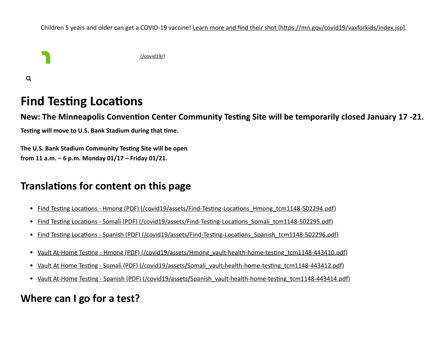Children 5 years and older can get a COVID-19 vaccine! [Learn more and find their shot \(https://mn.gov/covid19/vaxforkids/index.jsp\).](https://mn.gov/covid19/vaxforkids/index.jsp)



 $\alpha$ 

# **Find Testing Locations**

**New: The Minneapolis Convention Center Community Testing Site will be temporarily closed January 17 -21.**

**Testing will move to U.S. Bank Stadium during that time.**

**The U.S. Bank Stadium Community Testing Site will be open from 11 a.m. – 6 p.m. Monday 01/17 – Friday 01/21.**

## **Translations for content on this page**

- Find Testing Locations Hmong (PDF) (/covid19/assets/Find-Testing-Locations Hmong\_tcm1148-502294.pdf)
- Find Testing Locations Somali (PDF) (/covid19/assets/Find-Testing-Locations Somali\_tcm1148-502295.pdf)
- [Find Testing Locations Spanish \(PDF\) \(/covid19/assets/Find-Testing-Locations\\_Spanish\\_tcm1148-502296.pdf\)](https://mn.gov/covid19/assets/Find-Testing-Locations_Spanish_tcm1148-502296.pdf)
- [Vault At-Home Testing Hmong \(PDF\) \(/covid19/assets/Hmong\\_vault-health-home-testing\\_tcm1148-443410.pdf\)](https://mn.gov/covid19/assets/Hmong_vault-health-home-testing_tcm1148-443410.pdf)
- [Vault At Home Testing Somali \(PDF\) \(/covid19/assets/Somali\\_vault-health-home-testing\\_tcm1148-443412.pdf\)](https://mn.gov/covid19/assets/Somali_vault-health-home-testing_tcm1148-443412.pdf)
- [Vault At-Home Testing Spanish \(PDF\) \(/covid19/assets/Spanish\\_vault-health-home-testing\\_tcm1148-443414.pdf\)](https://mn.gov/covid19/assets/Spanish_vault-health-home-testing_tcm1148-443414.pdf)

## **Where can I go for a test?**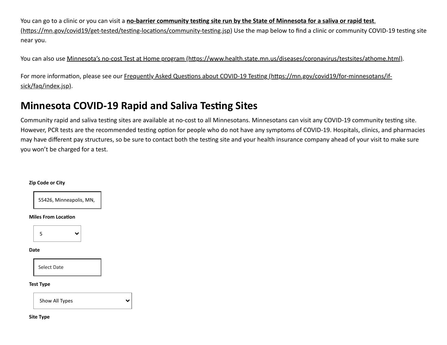You can go to a clinic or you can visit a **no-barrier community testing site run by the State of Minnesota for a saliva or rapid test**. [\(https://mn.gov/covid19/get-tested/testing-locations/community-testing.jsp\) Use the map below to find a clinic or community CO](https://mn.gov/covid19/get-tested/testing-locations/community-testing.jsp)VID-19 testing site near you.

You can also use [Minnesota's no-cost Test at Home program \(https://www.health.state.mn.us/diseases/coronavirus/testsites/athome.html\)](https://www.health.state.mn.us/diseases/coronavirus/testsites/athome.html).

[For more information, please see our Frequently Asked Questions about COVID-19 Testing \(https://mn.gov/covid19/for-minnesotans/if](https://mn.gov/covid19/for-minnesotans/if-sick/faq/index.jsp)sick/faq/index.jsp).

## **Minnesota COVID-19 Rapid and Saliva Testing Sites**

Community rapid and saliva testing sites are available at no-cost to all Minnesotans. Minnesotans can visit any COVID-19 community testing site. However, PCR tests are the recommended testing option for people who do not have any symptoms of COVID-19. Hospitals, clinics, and pharmacies may have different pay structures, so be sure to contact both the testing site and your health insurance company ahead of your visit to make sure you won't be charged for a test.

#### **Zip Code or City**



#### **Miles From Location**



#### **Date**

Select Date

#### **Test Type**

Show All Types  $\checkmark$ 

**Site Type**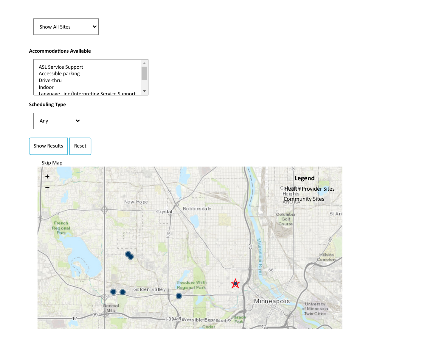#### **Accommodations Available**



 $\checkmark$ 

#### **Scheduling Type**



Show Results | Reset

#### [Skip Map](#page-3-0)

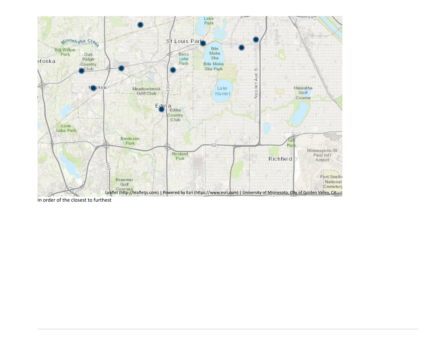<span id="page-3-0"></span>

In order of the closest to furthest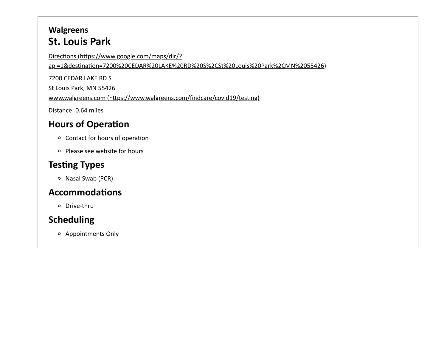### **Walgreens St. Louis Park**

Directions (https://www.google.com/maps/dir/? [api=1&destination=7200%20CEDAR%20LAKE%20RD%20S%2CSt%20Louis%20Park%2CMN%2055426\)](https://www.google.com/maps/dir/?api=1&destination=7200%20CEDAR%20LAKE%20RD%20S%2CSt%20Louis%20Park%2CMN%2055426)

7200 CEDAR LAKE RD S

St Louis Park, MN 55426

[www.walgreens.com \(https://www.walgreens.com/findcare/covid19/testing\)](https://www.walgreens.com/findcare/covid19/testing)

Distance: 0.64 miles

#### **Hours of Operation**

- Contact for hours of operation
- Please see website for hours

### **Testing Types**

o Nasal Swab (PCR)

#### **Accommodations**

Drive-thru

### **Scheduling**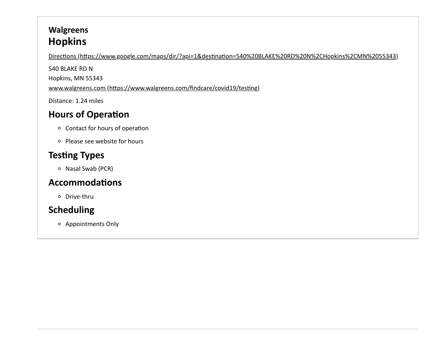## **Walgreens Hopkins**

[Directions \(https://www.google.com/maps/dir/?api=1&destination=540%20BLAKE%20RD%20N%2CHopkins%2CMN%2055343\)](https://www.google.com/maps/dir/?api=1&destination=540%20BLAKE%20RD%20N%2CHopkins%2CMN%2055343)

540 BLAKE RD N

Hopkins, MN 55343

[www.walgreens.com \(https://www.walgreens.com/findcare/covid19/testing\)](https://www.walgreens.com/findcare/covid19/testing)

Distance: 1.24 miles

# **Hours of Operation**

- Contact for hours of operation
- Please see website for hours

# **Testing Types**

o Nasal Swab (PCR)

## **Accommodations**

Drive-thru

# **Scheduling**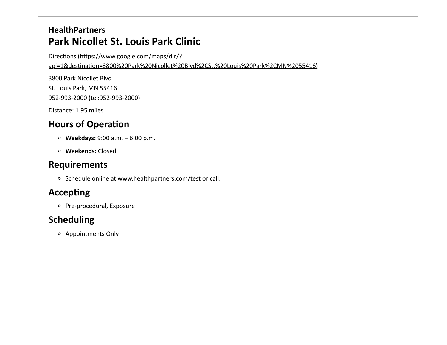### **HealthPartners Park Nicollet St. Louis Park Clinic**

Directions (https://www.google.com/maps/dir/?

[api=1&destination=3800%20Park%20Nicollet%20Blvd%2CSt.%20Louis%20Park%2CMN%2055416\)](https://www.google.com/maps/dir/?api=1&destination=3800%20Park%20Nicollet%20Blvd%2CSt.%20Louis%20Park%2CMN%2055416)

3800 Park Nicollet Blvd St. Louis Park, MN 55416 [952-993-2000 \(tel:952-993-2000\)](tel:952-993-2000)

Distance: 1.95 miles

## **Hours of Operation**

- **Weekdays:** 9:00 a.m. 6:00 p.m.
- **Weekends:** Closed

#### **Requirements**

o Schedule online at www.healthpartners.com/test or call.

### **Accepting**

o Pre-procedural, Exposure

### **Scheduling**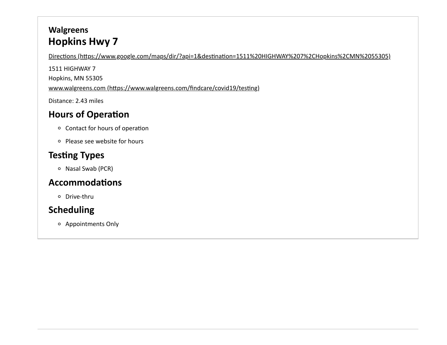## **Walgreens Hopkins Hwy 7**

[Directions \(https://www.google.com/maps/dir/?api=1&destination=1511%20HIGHWAY%207%2CHopkins%2CMN%2055305\)](https://www.google.com/maps/dir/?api=1&destination=1511%20HIGHWAY%207%2CHopkins%2CMN%2055305)

1511 HIGHWAY 7 Hopkins, MN 55305 [www.walgreens.com \(https://www.walgreens.com/findcare/covid19/testing\)](https://www.walgreens.com/findcare/covid19/testing)

Distance: 2.43 miles

## **Hours of Operation**

- Contact for hours of operation
- Please see website for hours

## **Testing Types**

o Nasal Swab (PCR)

### **Accommodations**

Drive-thru

## **Scheduling**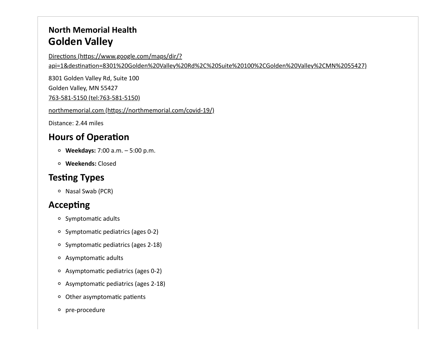### **North Memorial Health Golden Valley**

Directions (https://www.google.com/maps/dir/?

[api=1&destination=8301%20Golden%20Valley%20Rd%2C%20Suite%20100%2CGolden%20Valley%2CMN%2055427\)](https://www.google.com/maps/dir/?api=1&destination=8301%20Golden%20Valley%20Rd%2C%20Suite%20100%2CGolden%20Valley%2CMN%2055427)

8301 Golden Valley Rd, Suite 100

Golden Valley, MN 55427

[763-581-5150 \(tel:763-581-5150\)](tel:763-581-5150)

[northmemorial.com \(https://northmemorial.com/covid-19/\)](https://northmemorial.com/covid-19/)

Distance: 2.44 miles

### **Hours of Operation**

- **Weekdays:** 7:00 a.m. 5:00 p.m.
- **Weekends:** Closed

# **Testing Types**

 $\circ$  Nasal Swab (PCR)

### **Accepting**

- o Symptomatic adults
- Symptomatic pediatrics (ages 0-2)
- o Symptomatic pediatrics (ages 2-18)
- Asymptomatic adults
- Asymptomatic pediatrics (ages 0-2)
- Asymptomatic pediatrics (ages 2-18)
- Other asymptomatic patients
- o pre-procedure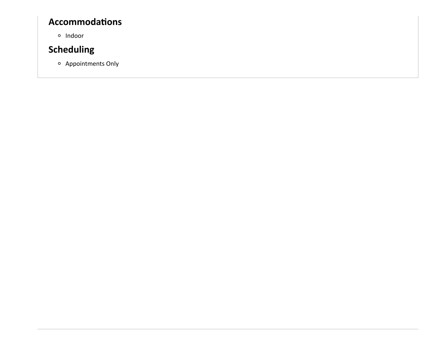#### **Accommodations**

**o** Indoor

## **Scheduling**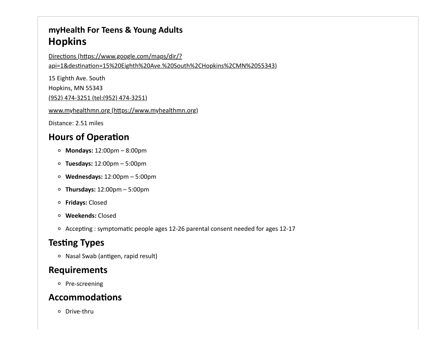#### **myHealth For Teens & Young Adults Hopkins**

Directions (https://www.google.com/maps/dir/?

[api=1&destination=15%20Eighth%20Ave.%20South%2CHopkins%2CMN%2055343\)](https://www.google.com/maps/dir/?api=1&destination=15%20Eighth%20Ave.%20South%2CHopkins%2CMN%2055343)

15 Eighth Ave. South

Hopkins, MN 55343

[\(952\) 474-3251 \(tel:\(952\) 474-3251\)](tel:(952) 474-3251)

[www.myhealthmn.org \(https://www.myhealthmn.org\)](https://www.myhealthmn.org/)

Distance: 2.51 miles

#### **Hours of Operation**

- **Mondays:** 12:00pm 8:00pm
- **Tuesdays:** 12:00pm 5:00pm
- **Wednesdays:** 12:00pm 5:00pm
- **Thursdays:** 12:00pm 5:00pm
- **Fridays:** Closed
- **Weekends:** Closed
- Accepting : symptomatic people ages 12-26 parental consent needed for ages 12-17

### **Testing Types**

Nasal Swab (antigen, rapid result)

#### **Requirements**

o Pre-screening

#### **Accommodations**

Drive-thru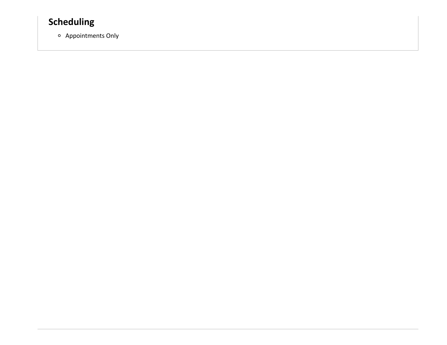## **Scheduling**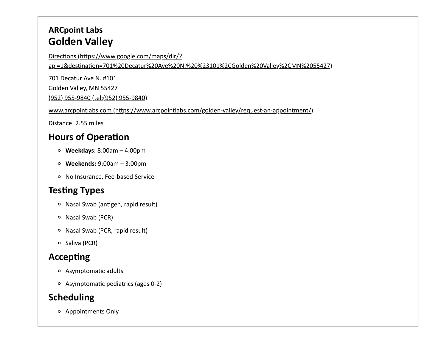## **ARCpoint Labs Golden Valley**

Directions (https://www.google.com/maps/dir/?

[api=1&destination=701%20Decatur%20Ave%20N.%20%23101%2CGolden%20Valley%2CMN%2055427\)](https://www.google.com/maps/dir/?api=1&destination=701%20Decatur%20Ave%20N.%20%23101%2CGolden%20Valley%2CMN%2055427)

701 Decatur Ave N. #101 Golden Valley, MN 55427

[\(952\) 955-9840 \(tel:\(952\) 955-9840\)](tel:(952) 955-9840)

[www.arcpointlabs.com \(https://www.arcpointlabs.com/golden-valley/request-an-appointment/\)](https://www.arcpointlabs.com/golden-valley/request-an-appointment/)

Distance: 2.55 miles

## **Hours of Operation**

- **Weekdays:** 8:00am 4:00pm
- **Weekends:** 9:00am 3:00pm
- No Insurance, Fee-based Service

# **Testing Types**

- Nasal Swab (antigen, rapid result)
- $\circ$  Nasal Swab (PCR)
- Nasal Swab (PCR, rapid result)
- $\circ$  Saliva (PCR)

## **Accepting**

- Asymptomatic adults
- Asymptomatic pediatrics (ages 0-2)

## **Scheduling**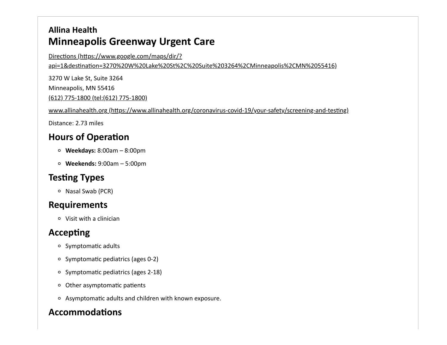## **Allina Health Minneapolis Greenway Urgent Care**

Directions (https://www.google.com/maps/dir/?

[api=1&destination=3270%20W%20Lake%20St%2C%20Suite%203264%2CMinneapolis%2CMN%2055416\)](https://www.google.com/maps/dir/?api=1&destination=3270%20W%20Lake%20St%2C%20Suite%203264%2CMinneapolis%2CMN%2055416)

3270 W Lake St, Suite 3264 Minneapolis, MN 55416

[\(612\) 775-1800 \(tel:\(612\) 775-1800\)](tel:(612) 775-1800)

[www.allinahealth.org \(https://www.allinahealth.org/coronavirus-covid-19/your-safety/screening-and-testing\)](https://www.allinahealth.org/coronavirus-covid-19/your-safety/screening-and-testing)

Distance: 2.73 miles

## **Hours of Operation**

- **Weekdays:** 8:00am 8:00pm
- **Weekends:** 9:00am 5:00pm

## **Testing Types**

o Nasal Swab (PCR)

### **Requirements**

Visit with a clinician

## **Accepting**

- o Symptomatic adults
- $\circ$  Symptomatic pediatrics (ages 0-2)
- o Symptomatic pediatrics (ages 2-18)
- Other asymptomatic patients
- Asymptomatic adults and children with known exposure.

## **Accommodations**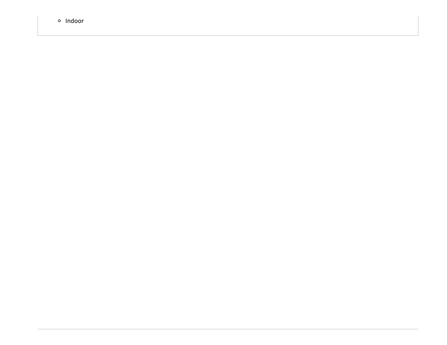**o** Indoor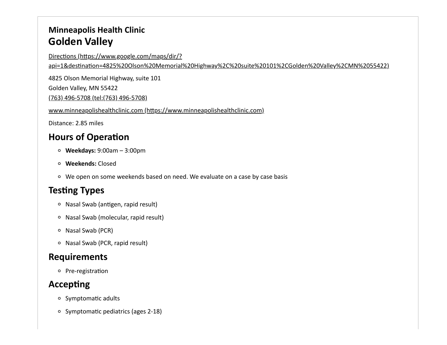### **Minneapolis Health Clinic Golden Valley**

Directions (https://www.google.com/maps/dir/?

[api=1&destination=4825%20Olson%20Memorial%20Highway%2C%20suite%20101%2CGolden%20Valley%2CMN%2055422\)](https://www.google.com/maps/dir/?api=1&destination=4825%20Olson%20Memorial%20Highway%2C%20suite%20101%2CGolden%20Valley%2CMN%2055422)

4825 Olson Memorial Highway, suite 101

Golden Valley, MN 55422

[\(763\) 496-5708 \(tel:\(763\) 496-5708\)](tel:(763) 496-5708)

[www.minneapolishealthclinic.com \(https://www.minneapolishealthclinic.com\)](https://www.minneapolishealthclinic.com/)

Distance: 2.85 miles

## **Hours of Operation**

- **Weekdays:** 9:00am 3:00pm
- **Weekends:** Closed
- We open on some weekends based on need. We evaluate on a case by case basis

## **Testing Types**

- Nasal Swab (antigen, rapid result)
- Nasal Swab (molecular, rapid result)
- o Nasal Swab (PCR)
- Nasal Swab (PCR, rapid result)

### **Requirements**

o Pre-registration

### **Accepting**

- o Symptomatic adults
- o Symptomatic pediatrics (ages 2-18)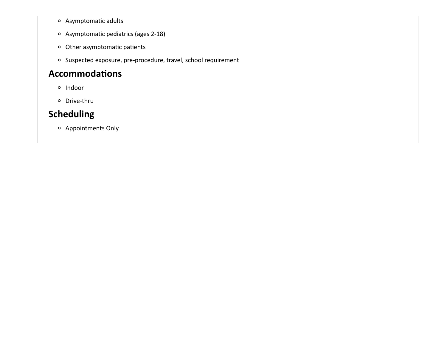- Asymptomatic adults
- Asymptomatic pediatrics (ages 2-18)
- Other asymptomatic patients
- o Suspected exposure, pre-procedure, travel, school requirement

#### **Accommodations**

- <sup>o</sup> Indoor
- Drive-thru

### **Scheduling**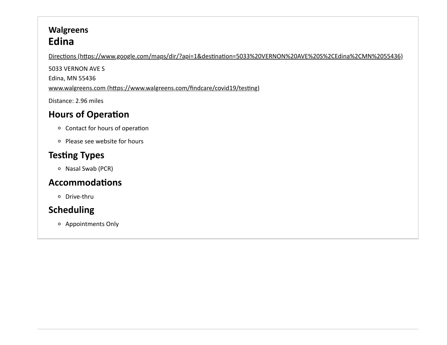## **Walgreens Edina**

[Directions \(https://www.google.com/maps/dir/?api=1&destination=5033%20VERNON%20AVE%20S%2CEdina%2CMN%2055436\)](https://www.google.com/maps/dir/?api=1&destination=5033%20VERNON%20AVE%20S%2CEdina%2CMN%2055436)

5033 VERNON AVE S Edina, MN 55436

[www.walgreens.com \(https://www.walgreens.com/findcare/covid19/testing\)](https://www.walgreens.com/findcare/covid19/testing)

Distance: 2.96 miles

## **Hours of Operation**

- Contact for hours of operation
- Please see website for hours

## **Testing Types**

Nasal Swab (PCR)

#### **Accommodations**

Drive-thru

## **Scheduling**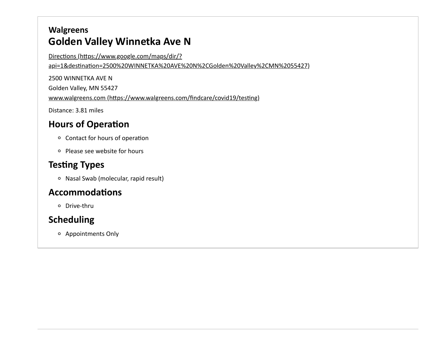## **Walgreens Golden Valley Winnetka Ave N**

Directions (https://www.google.com/maps/dir/? [api=1&destination=2500%20WINNETKA%20AVE%20N%2CGolden%20Valley%2CMN%2055427\)](https://www.google.com/maps/dir/?api=1&destination=2500%20WINNETKA%20AVE%20N%2CGolden%20Valley%2CMN%2055427)

2500 WINNETKA AVE N Golden Valley, MN 55427 [www.walgreens.com \(https://www.walgreens.com/findcare/covid19/testing\)](https://www.walgreens.com/findcare/covid19/testing)

Distance: 3.81 miles

#### **Hours of Operation**

- Contact for hours of operation
- Please see website for hours

#### **Testing Types**

Nasal Swab (molecular, rapid result)

#### **Accommodations**

Drive-thru

### **Scheduling**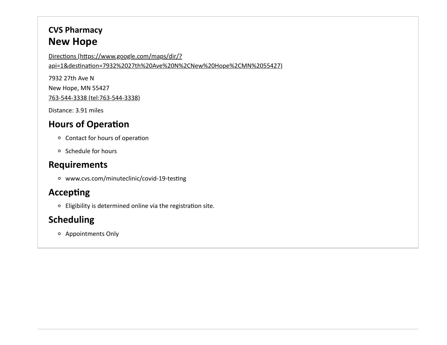## **CVS Pharmacy New Hope**

Directions (https://www.google.com/maps/dir/? [api=1&destination=7932%2027th%20Ave%20N%2CNew%20Hope%2CMN%2055427\)](https://www.google.com/maps/dir/?api=1&destination=7932%2027th%20Ave%20N%2CNew%20Hope%2CMN%2055427)

7932 27th Ave N New Hope, MN 55427

[763-544-3338 \(tel:763-544-3338\)](tel:763-544-3338)

Distance: 3.91 miles

### **Hours of Operation**

- Contact for hours of operation
- o Schedule for hours

#### **Requirements**

www.cvs.com/minuteclinic/covid-19-testing

## **Accepting**

Eligibility is determined online via the registration site.

## **Scheduling**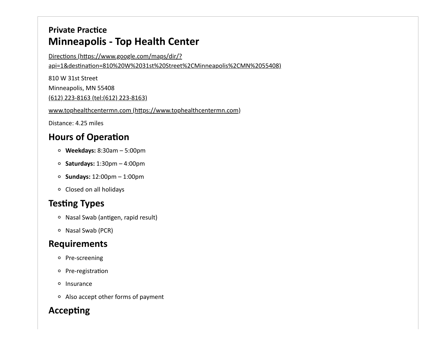## **Private Practice Minneapolis - Top Health Center**

Directions (https://www.google.com/maps/dir/?

[api=1&destination=810%20W%2031st%20Street%2CMinneapolis%2CMN%2055408\)](https://www.google.com/maps/dir/?api=1&destination=810%20W%2031st%20Street%2CMinneapolis%2CMN%2055408)

810 W 31st Street

Minneapolis, MN 55408

[\(612\) 223-8163 \(tel:\(612\) 223-8163\)](tel:(612) 223-8163)

[www.tophealthcentermn.com \(https://www.tophealthcentermn.com\)](https://www.tophealthcentermn.com/)

Distance: 4.25 miles

#### **Hours of Operation**

- **Weekdays:** 8:30am 5:00pm
- **Saturdays:** 1:30pm 4:00pm
- **Sundays:** 12:00pm 1:00pm
- Closed on all holidays

### **Testing Types**

- Nasal Swab (antigen, rapid result)
- o Nasal Swab (PCR)

#### **Requirements**

- o Pre-screening
- o Pre-registration
- o Insurance
- Also accept other forms of payment

## **Accepting**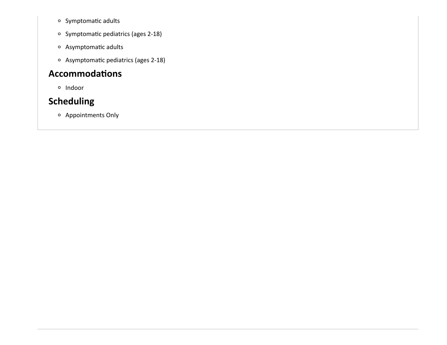- o Symptomatic adults
- o Symptomatic pediatrics (ages 2-18)
- Asymptomatic adults
- Asymptomatic pediatrics (ages 2-18)

#### **Accommodations**

<sup>o</sup> Indoor

## **Scheduling**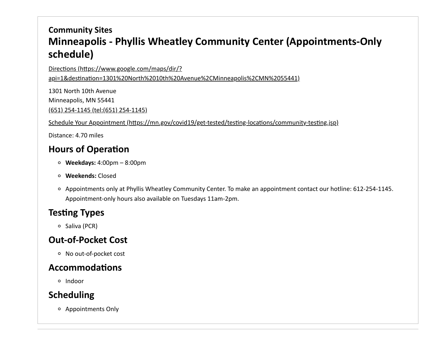## **Community Sites Minneapolis - Phyllis Wheatley Community Center (Appointments-Only schedule)**

Directions (https://www.google.com/maps/dir/?

[api=1&destination=1301%20North%2010th%20Avenue%2CMinneapolis%2CMN%2055441\)](https://www.google.com/maps/dir/?api=1&destination=1301%20North%2010th%20Avenue%2CMinneapolis%2CMN%2055441)

1301 North 10th Avenue Minneapolis, MN 55441 [\(651\) 254-1145 \(tel:\(651\) 254-1145\)](tel:(651) 254-1145)

[Schedule Your Appointment \(https://mn.gov/covid19/get-tested/testing-locations/community-testing.jsp\)](https://mn.gov/covid19/get-tested/testing-locations/community-testing.jsp)

Distance: 4.70 miles

### **Hours of Operation**

- **Weekdays:** 4:00pm 8:00pm
- **Weekends:** Closed
- Appointments only at Phyllis Wheatley Community Center. To make an appointment contact our hotline: 612-254-1145. Appointment-only hours also available on Tuesdays 11am-2pm.

### **Testing Types**

 $\circ$  Saliva (PCR)

### **Out-of-Pocket Cost**

No out-of-pocket cost

#### **Accommodations**

o Indoor

## **Scheduling**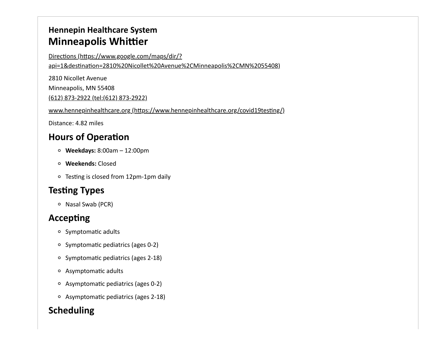## **Hennepin Healthcare System Minneapolis Whittier**

Directions (https://www.google.com/maps/dir/?

[api=1&destination=2810%20Nicollet%20Avenue%2CMinneapolis%2CMN%2055408\)](https://www.google.com/maps/dir/?api=1&destination=2810%20Nicollet%20Avenue%2CMinneapolis%2CMN%2055408)

2810 Nicollet Avenue

Minneapolis, MN 55408

[\(612\) 873-2922 \(tel:\(612\) 873-2922\)](tel:(612) 873-2922)

[www.hennepinhealthcare.org \(https://www.hennepinhealthcare.org/covid19testing/\)](https://www.hennepinhealthcare.org/covid19testing/)

Distance: 4.82 miles

# **Hours of Operation**

- **Weekdays:** 8:00am 12:00pm
- **Weekends:** Closed
- Testing is closed from 12pm-1pm daily

# **Testing Types**

o Nasal Swab (PCR)

# **Accepting**

- o Symptomatic adults
- $\circ$  Symptomatic pediatrics (ages 0-2)
- o Symptomatic pediatrics (ages 2-18)
- Asymptomatic adults
- Asymptomatic pediatrics (ages 0-2)
- Asymptomatic pediatrics (ages 2-18)

# **Scheduling**